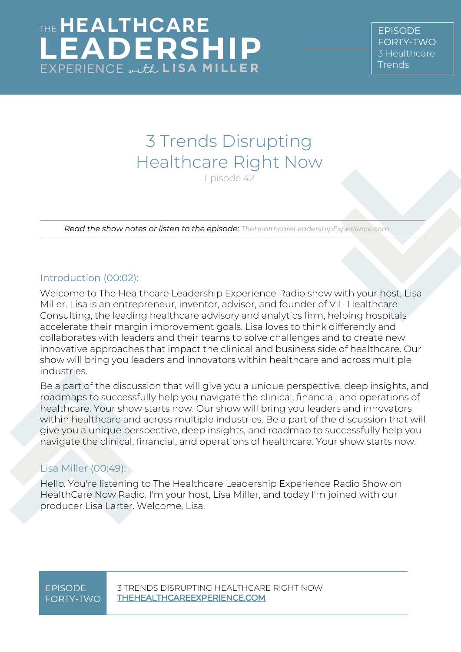### 3 Trends Disrupting Healthcare Right Now Episode 42

*Read the show notes or listen to the episode: TheHealthcareLeadershipExperience.com*

### Introduction (00:02):

Welcome to The Healthcare Leadership Experience Radio show with your host, Lisa Miller. Lisa is an entrepreneur, inventor, advisor, and founder of VIE Healthcare Consulting, the leading healthcare advisory and analytics firm, helping hospitals accelerate their margin improvement goals. Lisa loves to think differently and collaborates with leaders and their teams to solve challenges and to create new innovative approaches that impact the clinical and business side of healthcare. Our show will bring you leaders and innovators within healthcare and across multiple industries.

Be a part of the discussion that will give you a unique perspective, deep insights, and roadmaps to successfully help you navigate the clinical, financial, and operations of healthcare. Your show starts now. Our show will bring you leaders and innovators within healthcare and across multiple industries. Be a part of the discussion that will give you a unique perspective, deep insights, and roadmap to successfully help you navigate the clinical, financial, and operations of healthcare. Your show starts now.

### Lisa Miller (00:49):

Hello. You're listening to The Healthcare Leadership Experience Radio Show on HealthCare Now Radio. I'm your host, Lisa Miller, and today I'm joined with our producer Lisa Larter. Welcome, Lisa.

# FORTY-TWO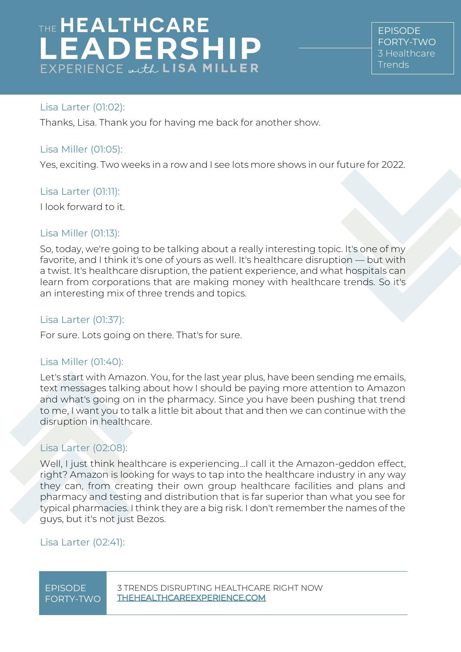**FPISODE** FORTY-TWO [3 Healthcare](https://www.thehealthcareleadershipexperience.com/3-trends-disrupting-healthcare-right-now-episode-42/)  **[Trends](https://www.thehealthcareleadershipexperience.com/3-trends-disrupting-healthcare-right-now-episode-42/)** 

### Lisa Larter (01:02):

Thanks, Lisa. Thank you for having me back for another show.

#### Lisa Miller (01:05):

Yes, exciting. Two weeks in a row and I see lots more shows in our future for 2022.

#### Lisa Larter (01:11):

I look forward to it.

#### Lisa Miller (01:13):

So, today, we're going to be talking about a really interesting topic. It's one of my favorite, and I think it's one of yours as well. It's healthcare disruption — but with a twist. It's healthcare disruption, the patient experience, and what hospitals can learn from corporations that are making money with healthcare trends. So it's an interesting mix of three trends and topics.

#### Lisa Larter (01:37):

For sure. Lots going on there. That's for sure.

#### Lisa Miller (01:40):

Let's start with Amazon. You, for the last year plus, have been sending me emails, text messages talking about how I should be paying more attention to Amazon and what's going on in the pharmacy. Since you have been pushing that trend to me, I want you to talk a little bit about that and then we can continue with the disruption in healthcare.

### Lisa Larter (02:08):

Well, I just think healthcare is experiencing...I call it the Amazon-geddon effect, right? Amazon is looking for ways to tap into the healthcare industry in any way they can, from creating their own group healthcare facilities and plans and pharmacy and testing and distribution that is far superior than what you see for typical pharmacies. I think they are a big risk. I don't remember the names of the guys, but it's not just Bezos.

### Lisa Larter (02:41):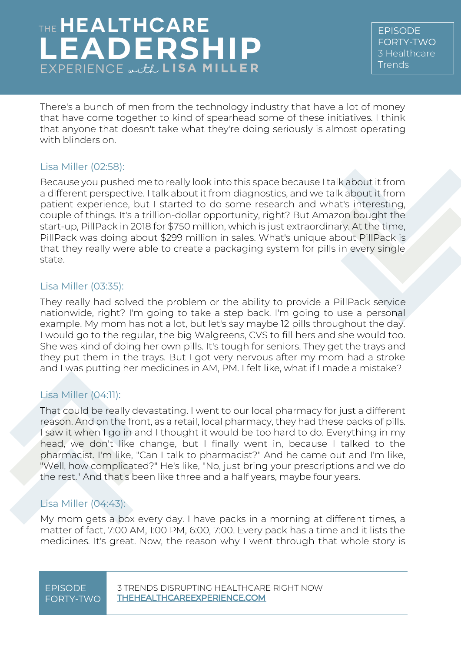EPISODE FORTY-TWO [3 Healthcare](https://www.thehealthcareleadershipexperience.com/3-trends-disrupting-healthcare-right-now-episode-42/)  [Trends](https://www.thehealthcareleadershipexperience.com/3-trends-disrupting-healthcare-right-now-episode-42/)

There's a bunch of men from the technology industry that have a lot of money that have come together to kind of spearhead some of these initiatives. I think that anyone that doesn't take what they're doing seriously is almost operating with blinders on.

### Lisa Miller (02:58):

Because you pushed me to really look into this space because I talk about it from a different perspective. I talk about it from diagnostics, and we talk about it from patient experience, but I started to do some research and what's interesting, couple of things. It's a trillion-dollar opportunity, right? But Amazon bought the start-up, PillPack in 2018 for \$750 million, which is just extraordinary. At the time, PillPack was doing about \$299 million in sales. What's unique about PillPack is that they really were able to create a packaging system for pills in every single state.

#### Lisa Miller (03:35):

They really had solved the problem or the ability to provide a PillPack service nationwide, right? I'm going to take a step back. I'm going to use a personal example. My mom has not a lot, but let's say maybe 12 pills throughout the day. I would go to the regular, the big Walgreens, CVS to fill hers and she would too. She was kind of doing her own pills. It's tough for seniors. They get the trays and they put them in the trays. But I got very nervous after my mom had a stroke and I was putting her medicines in AM, PM. I felt like, what if I made a mistake?

### Lisa Miller (04:11):

That could be really devastating. I went to our local pharmacy for just a different reason. And on the front, as a retail, local pharmacy, they had these packs of pills. I saw it when I go in and I thought it would be too hard to do. Everything in my head, we don't like change, but I finally went in, because I talked to the pharmacist. I'm like, "Can I talk to pharmacist?" And he came out and I'm like, "Well, how complicated?" He's like, "No, just bring your prescriptions and we do the rest." And that's been like three and a half years, maybe four years.

### Lisa Miller (04:43):

My mom gets a box every day. I have packs in a morning at different times, a matter of fact, 7:00 AM, 1:00 PM, 6:00, 7:00. Every pack has a time and it lists the medicines. It's great. Now, the reason why I went through that whole story is

# FORTY-TWO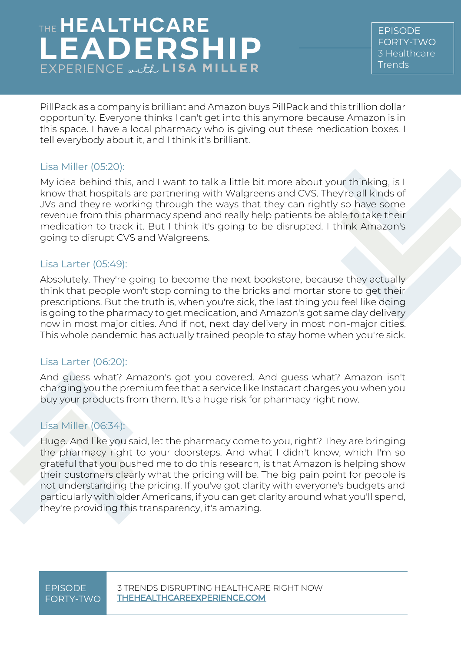EPISODE FORTY-TWO [3 Healthcare](https://www.thehealthcareleadershipexperience.com/3-trends-disrupting-healthcare-right-now-episode-42/)  [Trends](https://www.thehealthcareleadershipexperience.com/3-trends-disrupting-healthcare-right-now-episode-42/)

PillPack as a company is brilliant and Amazon buys PillPack and this trillion dollar opportunity. Everyone thinks I can't get into this anymore because Amazon is in this space. I have a local pharmacy who is giving out these medication boxes. I tell everybody about it, and I think it's brilliant.

### Lisa Miller (05:20):

My idea behind this, and I want to talk a little bit more about your thinking, is I know that hospitals are partnering with Walgreens and CVS. They're all kinds of JVs and they're working through the ways that they can rightly so have some revenue from this pharmacy spend and really help patients be able to take their medication to track it. But I think it's going to be disrupted. I think Amazon's going to disrupt CVS and Walgreens.

#### Lisa Larter (05:49):

Absolutely. They're going to become the next bookstore, because they actually think that people won't stop coming to the bricks and mortar store to get their prescriptions. But the truth is, when you're sick, the last thing you feel like doing is going to the pharmacy to get medication, and Amazon's got same day delivery now in most major cities. And if not, next day delivery in most non-major cities. This whole pandemic has actually trained people to stay home when you're sick.

### Lisa Larter (06:20):

And guess what? Amazon's got you covered. And guess what? Amazon isn't charging you the premium fee that a service like Instacart charges you when you buy your products from them. It's a huge risk for pharmacy right now.

### Lisa Miller (06:34):

Huge. And like you said, let the pharmacy come to you, right? They are bringing the pharmacy right to your doorsteps. And what I didn't know, which I'm so grateful that you pushed me to do this research, is that Amazon is helping show their customers clearly what the pricing will be. The big pain point for people is not understanding the pricing. If you've got clarity with everyone's budgets and particularly with older Americans, if you can get clarity around what you'll spend, they're providing this transparency, it's amazing.

## FORTY-TWO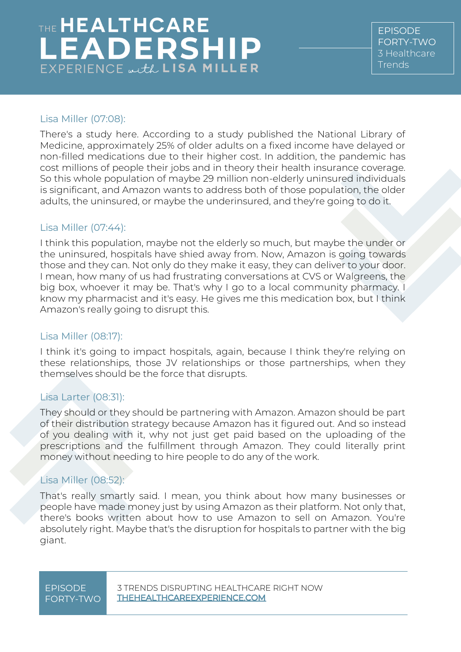EPISODE FORTY-TWO [3 Healthcare](https://www.thehealthcareleadershipexperience.com/3-trends-disrupting-healthcare-right-now-episode-42/)  [Trends](https://www.thehealthcareleadershipexperience.com/3-trends-disrupting-healthcare-right-now-episode-42/)

### Lisa Miller (07:08):

There's a study here. According to a study published the National Library of Medicine, approximately 25% of older adults on a fixed income have delayed or non-filled medications due to their higher cost. In addition, the pandemic has cost millions of people their jobs and in theory their health insurance coverage. So this whole population of maybe 29 million non-elderly uninsured individuals is significant, and Amazon wants to address both of those population, the older adults, the uninsured, or maybe the underinsured, and they're going to do it.

### Lisa Miller (07:44):

I think this population, maybe not the elderly so much, but maybe the under or the uninsured, hospitals have shied away from. Now, Amazon is going towards those and they can. Not only do they make it easy, they can deliver to your door. I mean, how many of us had frustrating conversations at CVS or Walgreens, the big box, whoever it may be. That's why I go to a local community pharmacy. I know my pharmacist and it's easy. He gives me this medication box, but I think Amazon's really going to disrupt this.

### Lisa Miller (08:17):

I think it's going to impact hospitals, again, because I think they're relying on these relationships, those JV relationships or those partnerships, when they themselves should be the force that disrupts.

### Lisa Larter (08:31):

They should or they should be partnering with Amazon. Amazon should be part of their distribution strategy because Amazon has it figured out. And so instead of you dealing with it, why not just get paid based on the uploading of the prescriptions and the fulfillment through Amazon. They could literally print money without needing to hire people to do any of the work.

### Lisa Miller (08:52):

That's really smartly said. I mean, you think about how many businesses or people have made money just by using Amazon as their platform. Not only that, there's books written about how to use Amazon to sell on Amazon. You're absolutely right. Maybe that's the disruption for hospitals to partner with the big giant.

# FORTY-TWO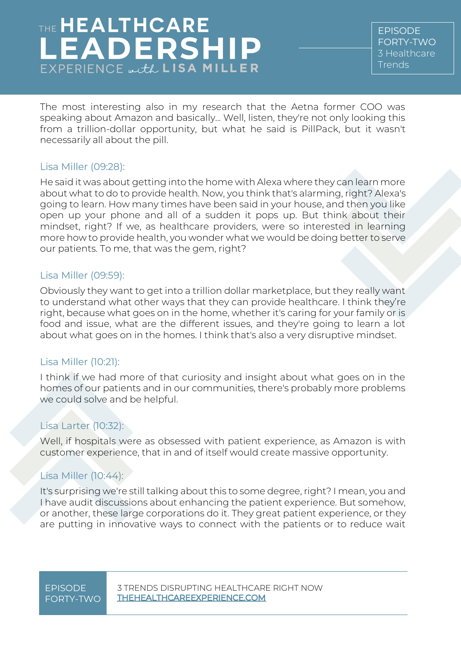EPISODE FORTY-TWO [3 Healthcare](https://www.thehealthcareleadershipexperience.com/3-trends-disrupting-healthcare-right-now-episode-42/)  [Trends](https://www.thehealthcareleadershipexperience.com/3-trends-disrupting-healthcare-right-now-episode-42/)

The most interesting also in my research that the Aetna former COO was speaking about Amazon and basically... Well, listen, they're not only looking this from a trillion-dollar opportunity, but what he said is PillPack, but it wasn't necessarily all about the pill.

### Lisa Miller (09:28):

He said it was about getting into the home with Alexa where they can learn more about what to do to provide health. Now, you think that's alarming, right? Alexa's going to learn. How many times have been said in your house, and then you like open up your phone and all of a sudden it pops up. But think about their mindset, right? If we, as healthcare providers, were so interested in learning more how to provide health, you wonder what we would be doing better to serve our patients. To me, that was the gem, right?

### Lisa Miller (09:59):

Obviously they want to get into a trillion dollar marketplace, but they really want to understand what other ways that they can provide healthcare. I think they're right, because what goes on in the home, whether it's caring for your family or is food and issue, what are the different issues, and they're going to learn a lot about what goes on in the homes. I think that's also a very disruptive mindset.

### Lisa Miller (10:21):

I think if we had more of that curiosity and insight about what goes on in the homes of our patients and in our communities, there's probably more problems we could solve and be helpful.

### Lisa Larter (10:32):

Well, if hospitals were as obsessed with patient experience, as Amazon is with customer experience, that in and of itself would create massive opportunity.

### Lisa Miller (10:44):

It's surprising we're still talking about this to some degree, right? I mean, you and I have audit discussions about enhancing the patient experience. But somehow, or another, these large corporations do it. They great patient experience, or they are putting in innovative ways to connect with the patients or to reduce wait

# FORTY-TWO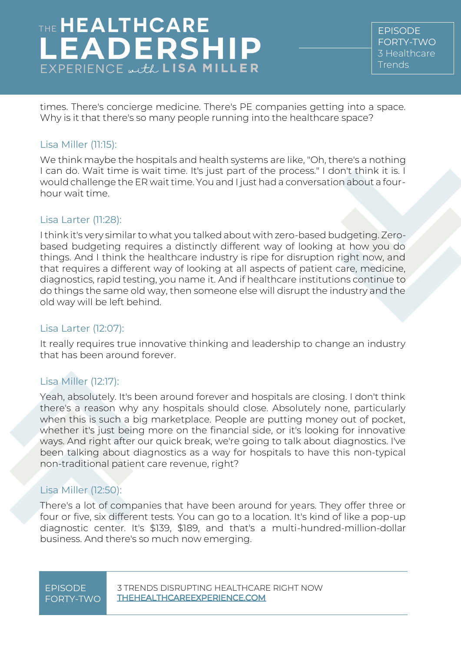EPISODE FORTY-TWO [3 Healthcare](https://www.thehealthcareleadershipexperience.com/3-trends-disrupting-healthcare-right-now-episode-42/)  [Trends](https://www.thehealthcareleadershipexperience.com/3-trends-disrupting-healthcare-right-now-episode-42/)

times. There's concierge medicine. There's PE companies getting into a space. Why is it that there's so many people running into the healthcare space?

### Lisa Miller (11:15):

We think maybe the hospitals and health systems are like, "Oh, there's a nothing I can do. Wait time is wait time. It's just part of the process." I don't think it is. I would challenge the ER wait time. You and I just had a conversation about a fourhour wait time.

### Lisa Larter (11:28):

I think it's very similar to what you talked about with zero-based budgeting. Zerobased budgeting requires a distinctly different way of looking at how you do things. And I think the healthcare industry is ripe for disruption right now, and that requires a different way of looking at all aspects of patient care, medicine, diagnostics, rapid testing, you name it. And if healthcare institutions continue to do things the same old way, then someone else will disrupt the industry and the old way will be left behind.

### Lisa Larter (12:07):

It really requires true innovative thinking and leadership to change an industry that has been around forever.

### Lisa Miller (12:17):

Yeah, absolutely. It's been around forever and hospitals are closing. I don't think there's a reason why any hospitals should close. Absolutely none, particularly when this is such a big marketplace. People are putting money out of pocket, whether it's just being more on the financial side, or it's looking for innovative ways. And right after our quick break, we're going to talk about diagnostics. I've been talking about diagnostics as a way for hospitals to have this non-typical non-traditional patient care revenue, right?

### Lisa Miller (12:50):

There's a lot of companies that have been around for years. They offer three or four or five, six different tests. You can go to a location. It's kind of like a pop-up diagnostic center. It's \$139, \$189, and that's a multi-hundred-million-dollar business. And there's so much now emerging.

# FORTY-TWO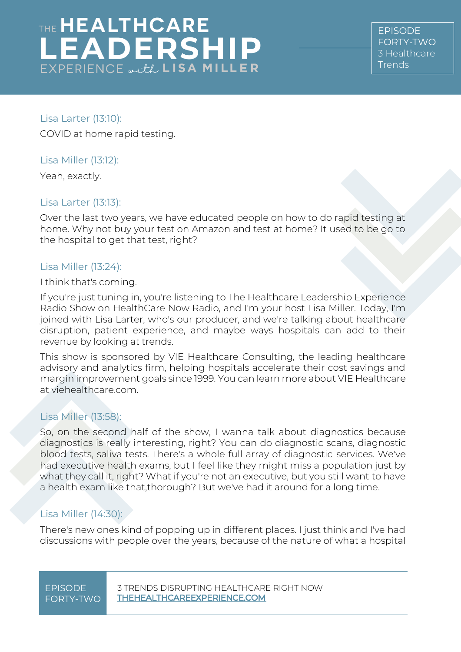EPISODE FORTY-TWO [3 Healthcare](https://www.thehealthcareleadershipexperience.com/3-trends-disrupting-healthcare-right-now-episode-42/)  [Trends](https://www.thehealthcareleadershipexperience.com/3-trends-disrupting-healthcare-right-now-episode-42/)

Lisa Larter (13:10): COVID at home rapid testing.

### Lisa Miller (13:12):

Yeah, exactly.

### Lisa Larter (13:13):

Over the last two years, we have educated people on how to do rapid testing at home. Why not buy your test on Amazon and test at home? It used to be go to the hospital to get that test, right?

### Lisa Miller (13:24):

I think that's coming.

If you're just tuning in, you're listening to The Healthcare Leadership Experience Radio Show on HealthCare Now Radio, and I'm your host Lisa Miller. Today, I'm joined with Lisa Larter, who's our producer, and we're talking about healthcare disruption, patient experience, and maybe ways hospitals can add to their revenue by looking at trends.

This show is sponsored by VIE Healthcare Consulting, the leading healthcare advisory and analytics firm, helping hospitals accelerate their cost savings and margin improvement goals since 1999. You can learn more about VIE Healthcare at viehealthcare.com.

### Lisa Miller (13:58):

So, on the second half of the show, I wanna talk about diagnostics because diagnostics is really interesting, right? You can do diagnostic scans, diagnostic blood tests, saliva tests. There's a whole full array of diagnostic services. We've had executive health exams, but I feel like they might miss a population just by what they call it, right? What if you're not an executive, but you still want to have a health exam like that,thorough? But we've had it around for a long time.

### Lisa Miller (14:30):

There's new ones kind of popping up in different places. I just think and I've had discussions with people over the years, because of the nature of what a hospital

# FORTY-TWO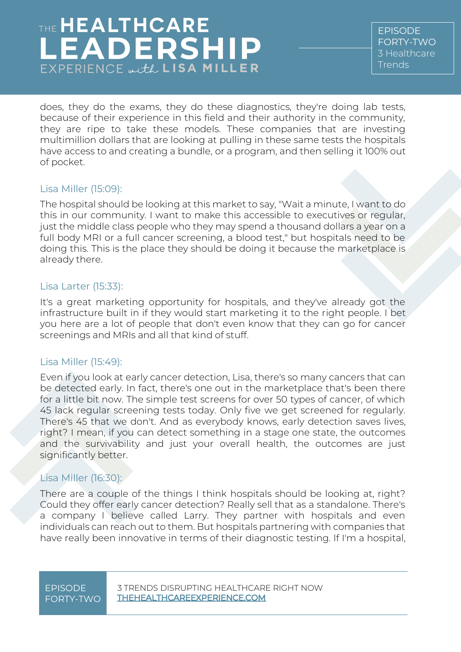EPISODE FORTY-TWO [3 Healthcare](https://www.thehealthcareleadershipexperience.com/3-trends-disrupting-healthcare-right-now-episode-42/)  [Trends](https://www.thehealthcareleadershipexperience.com/3-trends-disrupting-healthcare-right-now-episode-42/)

does, they do the exams, they do these diagnostics, they're doing lab tests, because of their experience in this field and their authority in the community, they are ripe to take these models. These companies that are investing multimillion dollars that are looking at pulling in these same tests the hospitals have access to and creating a bundle, or a program, and then selling it 100% out of pocket.

#### Lisa Miller (15:09):

The hospital should be looking at this market to say, "Wait a minute, I want to do this in our community. I want to make this accessible to executives or regular, just the middle class people who they may spend a thousand dollars a year on a full body MRI or a full cancer screening, a blood test," but hospitals need to be doing this. This is the place they should be doing it because the marketplace is already there.

#### Lisa Larter (15:33):

It's a great marketing opportunity for hospitals, and they've already got the infrastructure built in if they would start marketing it to the right people. I bet you here are a lot of people that don't even know that they can go for cancer screenings and MRIs and all that kind of stuff.

#### Lisa Miller (15:49):

Even if you look at early cancer detection, Lisa, there's so many cancers that can be detected early. In fact, there's one out in the marketplace that's been there for a little bit now. The simple test screens for over 50 types of cancer, of which 45 lack regular screening tests today. Only five we get screened for regularly. There's 45 that we don't. And as everybody knows, early detection saves lives, right? I mean, if you can detect something in a stage one state, the outcomes and the survivability and just your overall health, the outcomes are just significantly better.

### Lisa Miller (16:30):

There are a couple of the things I think hospitals should be looking at, right? Could they offer early cancer detection? Really sell that as a standalone. There's a company I believe called Larry. They partner with hospitals and even individuals can reach out to them. But hospitals partnering with companies that have really been innovative in terms of their diagnostic testing. If I'm a hospital,

# FORTY-TWO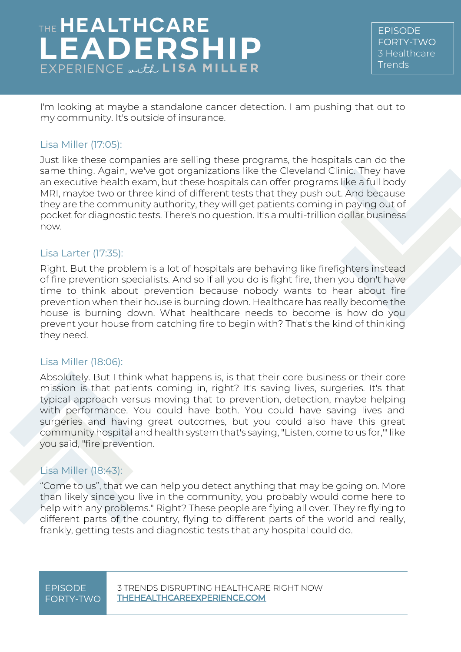EPISODE FORTY-TWO [3 Healthcare](https://www.thehealthcareleadershipexperience.com/3-trends-disrupting-healthcare-right-now-episode-42/)  [Trends](https://www.thehealthcareleadershipexperience.com/3-trends-disrupting-healthcare-right-now-episode-42/)

I'm looking at maybe a standalone cancer detection. I am pushing that out to my community. It's outside of insurance.

### Lisa Miller (17:05):

Just like these companies are selling these programs, the hospitals can do the same thing. Again, we've got organizations like the Cleveland Clinic. They have an executive health exam, but these hospitals can offer programs like a full body MRI, maybe two or three kind of different tests that they push out. And because they are the community authority, they will get patients coming in paying out of pocket for diagnostic tests. There's no question. It's a multi-trillion dollar business now.

### Lisa Larter (17:35):

Right. But the problem is a lot of hospitals are behaving like firefighters instead of fire prevention specialists. And so if all you do is fight fire, then you don't have time to think about prevention because nobody wants to hear about fire prevention when their house is burning down. Healthcare has really become the house is burning down. What healthcare needs to become is how do you prevent your house from catching fire to begin with? That's the kind of thinking they need.

#### Lisa Miller (18:06):

Absolutely. But I think what happens is, is that their core business or their core mission is that patients coming in, right? It's saving lives, surgeries. It's that typical approach versus moving that to prevention, detection, maybe helping with performance. You could have both. You could have saving lives and surgeries and having great outcomes, but you could also have this great community hospital and health system that's saying, "Listen, come to us for,'" like you said, "fire prevention.

### Lisa Miller (18:43):

"Come to us", that we can help you detect anything that may be going on. More than likely since you live in the community, you probably would come here to help with any problems." Right? These people are flying all over. They're flying to different parts of the country, flying to different parts of the world and really, frankly, getting tests and diagnostic tests that any hospital could do.

# FORTY-TWO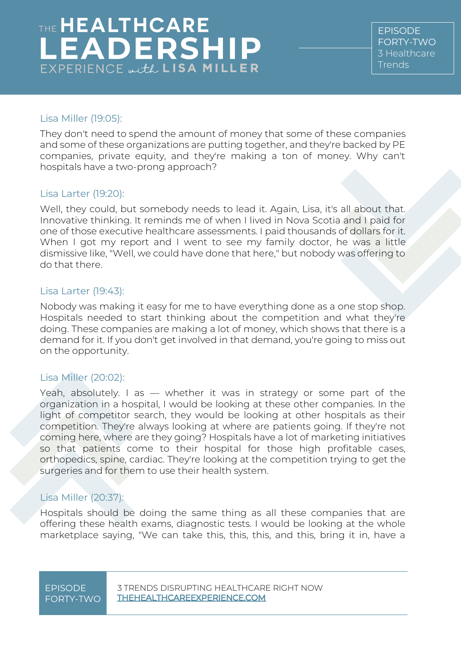EPISODE FORTY-TWO [3 Healthcare](https://www.thehealthcareleadershipexperience.com/3-trends-disrupting-healthcare-right-now-episode-42/)  [Trends](https://www.thehealthcareleadershipexperience.com/3-trends-disrupting-healthcare-right-now-episode-42/)

### Lisa Miller (19:05):

They don't need to spend the amount of money that some of these companies and some of these organizations are putting together, and they're backed by PE companies, private equity, and they're making a ton of money. Why can't hospitals have a two-prong approach?

### Lisa Larter (19:20):

Well, they could, but somebody needs to lead it. Again, Lisa, it's all about that. Innovative thinking. It reminds me of when I lived in Nova Scotia and I paid for one of those executive healthcare assessments. I paid thousands of dollars for it. When I got my report and I went to see my family doctor, he was a little dismissive like, "Well, we could have done that here," but nobody was offering to do that there.

#### Lisa Larter (19:43):

Nobody was making it easy for me to have everything done as a one stop shop. Hospitals needed to start thinking about the competition and what they're doing. These companies are making a lot of money, which shows that there is a demand for it. If you don't get involved in that demand, you're going to miss out on the opportunity.

### Lisa Miller (20:02):

Yeah, absolutely. I as - whether it was in strategy or some part of the organization in a hospital, I would be looking at these other companies. In the light of competitor search, they would be looking at other hospitals as their competition. They're always looking at where are patients going. If they're not coming here, where are they going? Hospitals have a lot of marketing initiatives so that patients come to their hospital for those high profitable cases, orthopedics, spine, cardiac. They're looking at the competition trying to get the surgeries and for them to use their health system.

### Lisa Miller (20:37):

Hospitals should be doing the same thing as all these companies that are offering these health exams, diagnostic tests. I would be looking at the whole marketplace saying, "We can take this, this, this, and this, bring it in, have a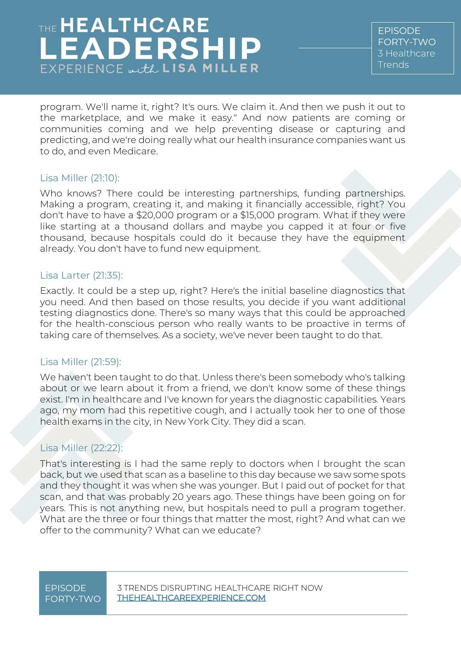EPISODE FORTY-TWO [3 Healthcare](https://www.thehealthcareleadershipexperience.com/3-trends-disrupting-healthcare-right-now-episode-42/)  [Trends](https://www.thehealthcareleadershipexperience.com/3-trends-disrupting-healthcare-right-now-episode-42/)

program. We'll name it, right? It's ours. We claim it. And then we push it out to the marketplace, and we make it easy." And now patients are coming or communities coming and we help preventing disease or capturing and predicting, and we're doing really what our health insurance companies want us to do, and even Medicare.

#### Lisa Miller (21:10):

Who knows? There could be interesting partnerships, funding partnerships. Making a program, creating it, and making it financially accessible, right? You don't have to have a \$20,000 program or a \$15,000 program. What if they were like starting at a thousand dollars and maybe you capped it at four or five thousand, because hospitals could do it because they have the equipment already. You don't have to fund new equipment.

### Lisa Larter (21:35):

Exactly. It could be a step up, right? Here's the initial baseline diagnostics that you need. And then based on those results, you decide if you want additional testing diagnostics done. There's so many ways that this could be approached for the health-conscious person who really wants to be proactive in terms of taking care of themselves. As a society, we've never been taught to do that.

#### Lisa Miller (21:59):

We haven't been taught to do that. Unless there's been somebody who's talking about or we learn about it from a friend, we don't know some of these things exist. I'm in healthcare and I've known for years the diagnostic capabilities. Years ago, my mom had this repetitive cough, and I actually took her to one of those health exams in the city, in New York City. They did a scan.

### Lisa Miller (22:22):

That's interesting is I had the same reply to doctors when I brought the scan back, but we used that scan as a baseline to this day because we saw some spots and they thought it was when she was younger. But I paid out of pocket for that scan, and that was probably 20 years ago. These things have been going on for years. This is not anything new, but hospitals need to pull a program together. What are the three or four things that matter the most, right? And what can we offer to the community? What can we educate?

# FORTY-TWO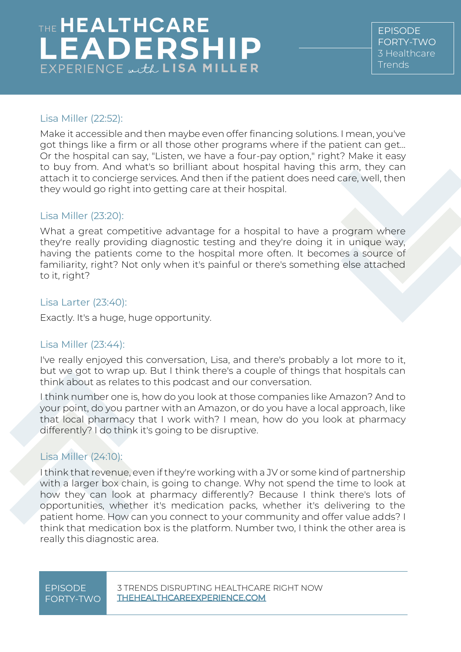EPISODE FORTY-TWO [3 Healthcare](https://www.thehealthcareleadershipexperience.com/3-trends-disrupting-healthcare-right-now-episode-42/)  [Trends](https://www.thehealthcareleadershipexperience.com/3-trends-disrupting-healthcare-right-now-episode-42/)

### Lisa Miller (22:52):

Make it accessible and then maybe even offer financing solutions. I mean, you've got things like a firm or all those other programs where if the patient can get... Or the hospital can say, "Listen, we have a four-pay option," right? Make it easy to buy from. And what's so brilliant about hospital having this arm, they can attach it to concierge services. And then if the patient does need care, well, then they would go right into getting care at their hospital.

#### Lisa Miller (23:20):

What a great competitive advantage for a hospital to have a program where they're really providing diagnostic testing and they're doing it in unique way, having the patients come to the hospital more often. It becomes a source of familiarity, right? Not only when it's painful or there's something else attached to it, right?

#### Lisa Larter (23:40):

Exactly. It's a huge, huge opportunity.

### Lisa Miller (23:44):

I've really enjoyed this conversation, Lisa, and there's probably a lot more to it, but we got to wrap up. But I think there's a couple of things that hospitals can think about as relates to this podcast and our conversation.

I think number one is, how do you look at those companies like Amazon? And to your point, do you partner with an Amazon, or do you have a local approach, like that local pharmacy that I work with? I mean, how do you look at pharmacy differently? I do think it's going to be disruptive.

### Lisa Miller (24:10):

I think that revenue, even if they're working with a JV or some kind of partnership with a larger box chain, is going to change. Why not spend the time to look at how they can look at pharmacy differently? Because I think there's lots of opportunities, whether it's medication packs, whether it's delivering to the patient home. How can you connect to your community and offer value adds? I think that medication box is the platform. Number two, I think the other area is really this diagnostic area.

# FORTY-TWO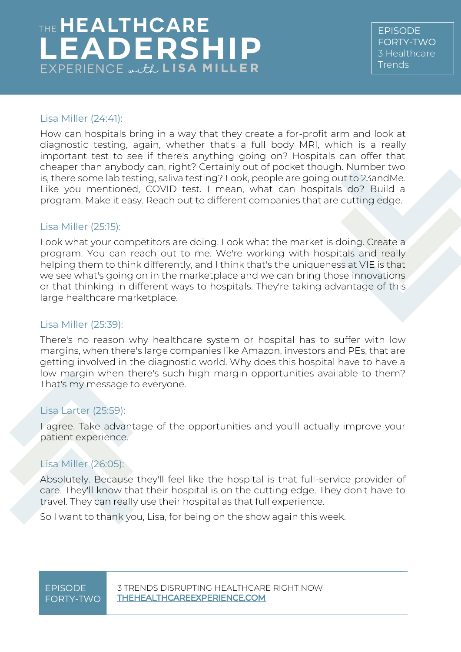EPISODE FORTY-TWO [3 Healthcare](https://www.thehealthcareleadershipexperience.com/3-trends-disrupting-healthcare-right-now-episode-42/)  [Trends](https://www.thehealthcareleadershipexperience.com/3-trends-disrupting-healthcare-right-now-episode-42/)

### Lisa Miller (24:41):

How can hospitals bring in a way that they create a for-profit arm and look at diagnostic testing, again, whether that's a full body MRI, which is a really important test to see if there's anything going on? Hospitals can offer that cheaper than anybody can, right? Certainly out of pocket though. Number two is, there some lab testing, saliva testing? Look, people are going out to 23andMe. Like you mentioned, COVID test. I mean, what can hospitals do? Build a program. Make it easy. Reach out to different companies that are cutting edge.

### Lisa Miller (25:15):

Look what your competitors are doing. Look what the market is doing. Create a program. You can reach out to me. We're working with hospitals and really helping them to think differently, and I think that's the uniqueness at VIE is that we see what's going on in the marketplace and we can bring those innovations or that thinking in different ways to hospitals. They're taking advantage of this large healthcare marketplace.

### Lisa Miller (25:39):

There's no reason why healthcare system or hospital has to suffer with low margins, when there's large companies like Amazon, investors and PEs, that are getting involved in the diagnostic world. Why does this hospital have to have a low margin when there's such high margin opportunities available to them? That's my message to everyone.

### Lisa Larter (25:59):

I agree. Take advantage of the opportunities and you'll actually improve your patient experience.

### Lisa Miller (26:05):

Absolutely. Because they'll feel like the hospital is that full-service provider of care. They'll know that their hospital is on the cutting edge. They don't have to travel. They can really use their hospital as that full experience.

So I want to thank you, Lisa, for being on the show again this week.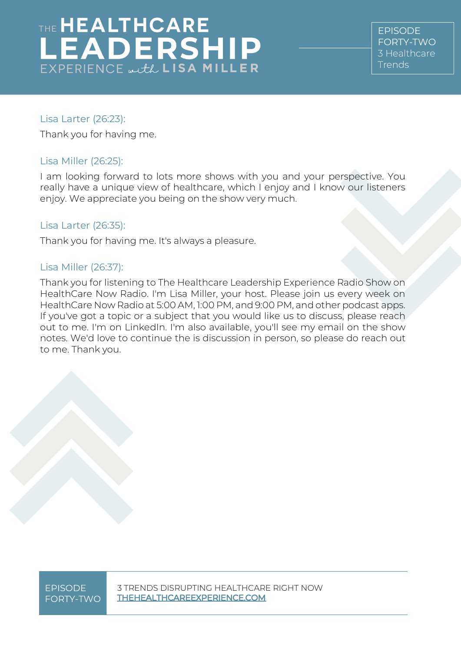EPISODE FORTY-TWO [3 Healthcare](https://www.thehealthcareleadershipexperience.com/3-trends-disrupting-healthcare-right-now-episode-42/)  **[Trends](https://www.thehealthcareleadershipexperience.com/3-trends-disrupting-healthcare-right-now-episode-42/)** 

### Lisa Larter (26:23):

Thank you for having me.

### Lisa Miller (26:25):

I am looking forward to lots more shows with you and your perspective. You really have a unique view of healthcare, which I enjoy and I know our listeners enjoy. We appreciate you being on the show very much.

### Lisa Larter (26:35):

Thank you for having me. It's always a pleasure.

### Lisa Miller (26:37):

Thank you for listening to The Healthcare Leadership Experience Radio Show on HealthCare Now Radio. I'm Lisa Miller, your host. Please join us every week on HealthCare Now Radio at 5:00 AM, 1:00 PM, and 9:00 PM, and other podcast apps. If you've got a topic or a subject that you would like us to discuss, please reach out to me. I'm on LinkedIn. I'm also available, you'll see my email on the show notes. We'd love to continue the is discussion in person, so please do reach out to me. Thank you.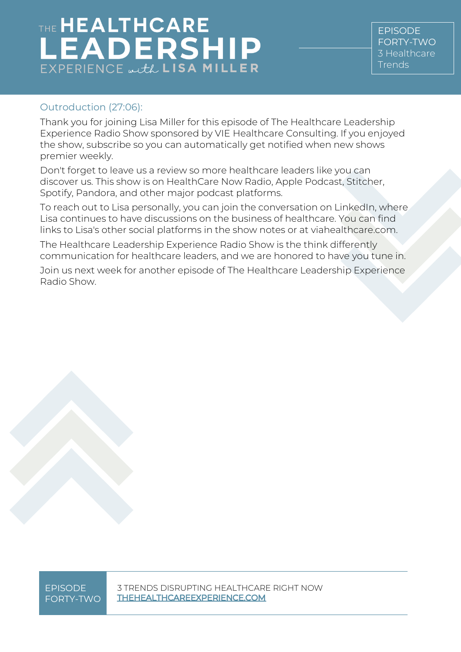EPISODE FORTY-TWO [3 Healthcare](https://www.thehealthcareleadershipexperience.com/3-trends-disrupting-healthcare-right-now-episode-42/)  [Trends](https://www.thehealthcareleadershipexperience.com/3-trends-disrupting-healthcare-right-now-episode-42/)

### Outroduction (27:06):

Thank you for joining Lisa Miller for this episode of The Healthcare Leadership Experience Radio Show sponsored by VIE Healthcare Consulting. If you enjoyed the show, subscribe so you can automatically get notified when new shows premier weekly.

Don't forget to leave us a review so more healthcare leaders like you can discover us. This show is on HealthCare Now Radio, Apple Podcast, Stitcher, Spotify, Pandora, and other major podcast platforms.

To reach out to Lisa personally, you can join the conversation on LinkedIn, where Lisa continues to have discussions on the business of healthcare. You can find links to Lisa's other social platforms in the show notes or at viahealthcare.com.

The Healthcare Leadership Experience Radio Show is the think differently communication for healthcare leaders, and we are honored to have you tune in.

Join us next week for another episode of The Healthcare Leadership Experience Radio Show.